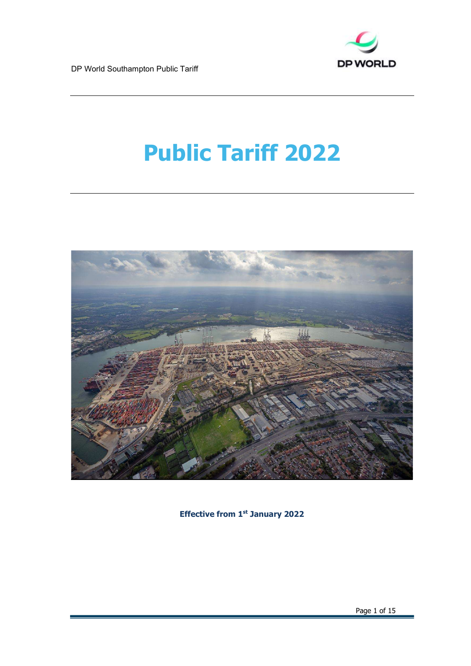

# Public Tariff 2022



Effective from 1st January 2022

Page 1 of 15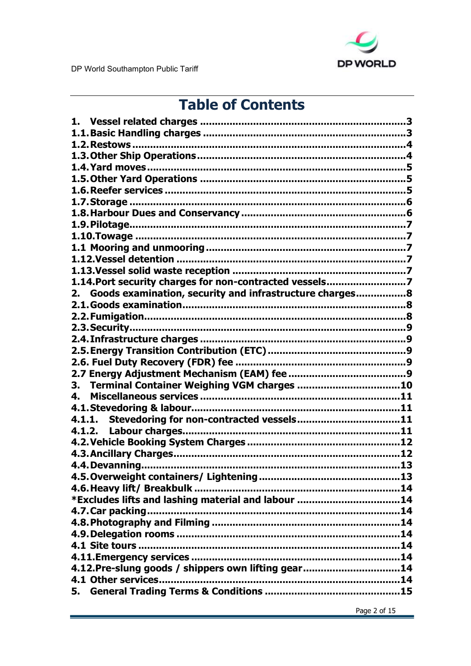

# **Table of Contents**

| 1.14. Port security charges for non-contracted vessels7       |
|---------------------------------------------------------------|
| Goods examination, security and infrastructure charges8<br>2. |
|                                                               |
|                                                               |
|                                                               |
|                                                               |
|                                                               |
|                                                               |
|                                                               |
| Terminal Container Weighing VGM charges 10<br>3.              |
| $\mathbf{4}$                                                  |
|                                                               |
|                                                               |
|                                                               |
|                                                               |
|                                                               |
|                                                               |
|                                                               |
|                                                               |
|                                                               |
| *Excludes lifts and lashing material and labour 14            |
|                                                               |
|                                                               |
|                                                               |
|                                                               |
|                                                               |
| 4.12. Pre-slung goods / shippers own lifting gear14           |
|                                                               |
| 5.                                                            |
|                                                               |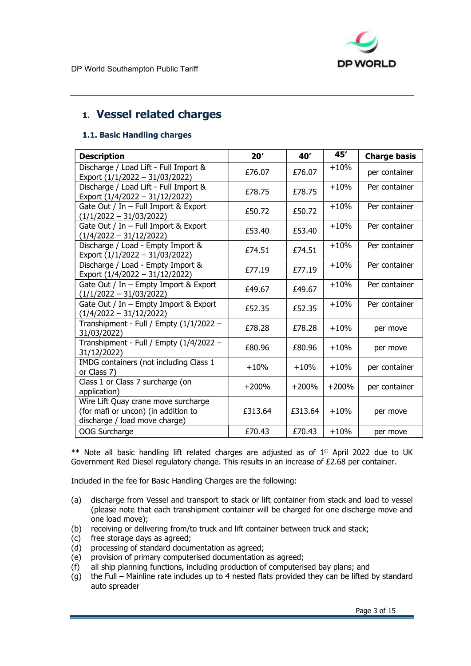

# 1. Vessel related charges

### 1.1. Basic Handling charges

| <b>Description</b>                                                                                          | 20'     | 40'     | 45'     | <b>Charge basis</b> |
|-------------------------------------------------------------------------------------------------------------|---------|---------|---------|---------------------|
| Discharge / Load Lift - Full Import &<br>Export (1/1/2022 - 31/03/2022)                                     | £76.07  | £76.07  | $+10%$  | per container       |
| Discharge / Load Lift - Full Import &<br>Export (1/4/2022 - 31/12/2022)                                     | £78.75  | £78.75  | $+10%$  | Per container       |
| Gate Out / In $-$ Full Import & Export<br>$(1/1/2022 - 31/03/2022)$                                         | £50.72  | £50.72  | $+10%$  | Per container       |
| Gate Out / In - Full Import & Export<br>$(1/4/2022 - 31/12/2022)$                                           | £53.40  | £53.40  | $+10%$  | Per container       |
| Discharge / Load - Empty Import &<br>Export (1/1/2022 - 31/03/2022)                                         | £74.51  | £74.51  | $+10%$  | Per container       |
| Discharge / Load - Empty Import &<br>Export (1/4/2022 - 31/12/2022)                                         | £77.19  | £77.19  | $+10%$  | Per container       |
| Gate Out / In $-$ Empty Import & Export<br>$(1/1/2022 - 31/03/2022)$                                        | £49.67  | £49.67  | $+10%$  | Per container       |
| Gate Out / In - Empty Import & Export<br>$(1/4/2022 - 31/12/2022)$                                          | £52.35  | £52.35  | $+10%$  | Per container       |
| Transhipment - Full / Empty (1/1/2022 -<br>31/03/2022)                                                      | £78.28  | £78.28  | $+10%$  | per move            |
| Transhipment - Full / Empty (1/4/2022 -<br>31/12/2022)                                                      | £80.96  | £80.96  | $+10%$  | per move            |
| IMDG containers (not including Class 1<br>or Class 7)                                                       | $+10%$  | $+10%$  | $+10%$  | per container       |
| Class 1 or Class 7 surcharge (on<br>application)                                                            | $+200%$ | $+200%$ | $+200%$ | per container       |
| Wire Lift Quay crane move surcharge<br>(for mafi or uncon) (in addition to<br>discharge / load move charge) | £313.64 | £313.64 | $+10%$  | per move            |
| OOG Surcharge                                                                                               | £70.43  | £70.43  | $+10%$  | per move            |

\*\* Note all basic handling lift related charges are adjusted as of 1<sup>st</sup> April 2022 due to UK Government Red Diesel regulatory change. This results in an increase of £2.68 per container.

Included in the fee for Basic Handling Charges are the following:

- (a) discharge from Vessel and transport to stack or lift container from stack and load to vessel (please note that each transhipment container will be charged for one discharge move and one load move);
- (b) receiving or delivering from/to truck and lift container between truck and stack;
- (c) free storage days as agreed;
- (d) processing of standard documentation as agreed;
- (e) provision of primary computerised documentation as agreed;
- (f) all ship planning functions, including production of computerised bay plans; and
- $\overrightarrow{q}$  the Full Mainline rate includes up to 4 nested flats provided they can be lifted by standard auto spreader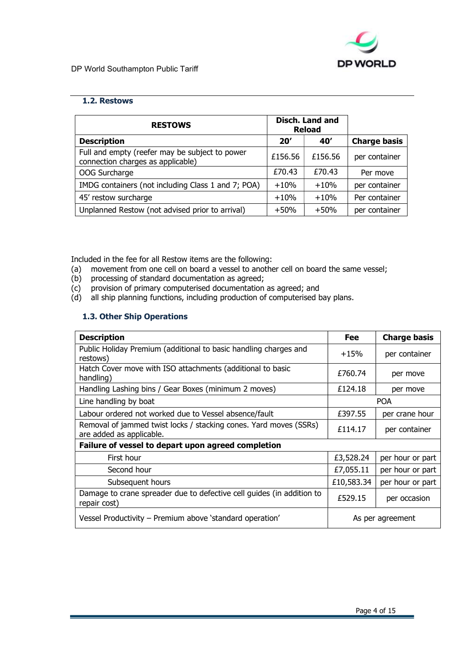

### 1.2. Restows

| <b>RESTOWS</b>                                                                      | Disch. Land and<br><b>Reload</b> |         |                     |
|-------------------------------------------------------------------------------------|----------------------------------|---------|---------------------|
| <b>Description</b>                                                                  | 20'                              | 40'     | <b>Charge basis</b> |
| Full and empty (reefer may be subject to power<br>connection charges as applicable) | £156.56                          | £156.56 | per container       |
| OOG Surcharge                                                                       | £70.43                           | £70.43  | Per move            |
| IMDG containers (not including Class 1 and 7; POA)                                  | $+10%$                           | $+10%$  | per container       |
| 45' restow surcharge                                                                | $+10%$                           | $+10%$  | Per container       |
| Unplanned Restow (not advised prior to arrival)                                     | $+50%$                           | $+50%$  | per container       |

Included in the fee for all Restow items are the following:

- (a) movement from one cell on board a vessel to another cell on board the same vessel;
- (b) processing of standard documentation as agreed;
- (c) provision of primary computerised documentation as agreed; and
- (d) all ship planning functions, including production of computerised bay plans.

### 1.3. Other Ship Operations

| <b>Description</b>                                                                            | <b>Fee</b> | <b>Charge basis</b> |  |
|-----------------------------------------------------------------------------------------------|------------|---------------------|--|
| Public Holiday Premium (additional to basic handling charges and<br>restows)                  | $+15%$     | per container       |  |
| Hatch Cover move with ISO attachments (additional to basic<br>handling)                       | £760.74    | per move            |  |
| Handling Lashing bins / Gear Boxes (minimum 2 moves)                                          | £124.18    | per move            |  |
| Line handling by boat                                                                         |            | <b>POA</b>          |  |
| Labour ordered not worked due to Vessel absence/fault                                         | £397.55    | per crane hour      |  |
| Removal of jammed twist locks / stacking cones. Yard moves (SSRs)<br>are added as applicable. | £114.17    | per container       |  |
| Failure of vessel to depart upon agreed completion                                            |            |                     |  |
| First hour                                                                                    | £3,528.24  | per hour or part    |  |
| Second hour                                                                                   | £7,055.11  | per hour or part    |  |
| Subsequent hours                                                                              | £10,583.34 | per hour or part    |  |
| Damage to crane spreader due to defective cell guides (in addition to<br>repair cost)         | £529.15    | per occasion        |  |
| Vessel Productivity - Premium above 'standard operation'                                      |            | As per agreement    |  |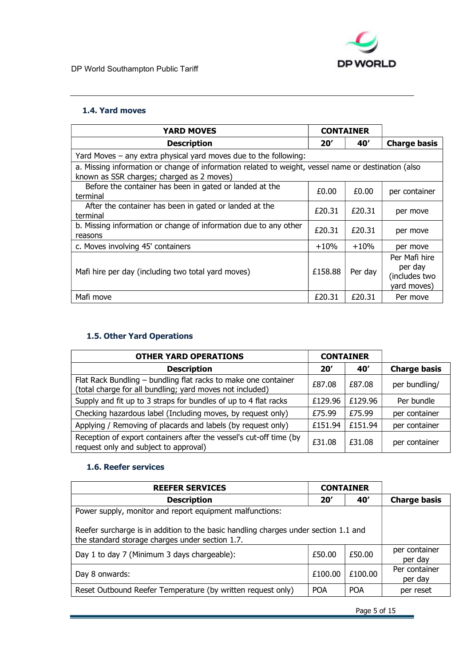

### 1.4. Yard moves

| <b>YARD MOVES</b>                                                                                                                                | <b>CONTAINER</b> |         |                                                          |
|--------------------------------------------------------------------------------------------------------------------------------------------------|------------------|---------|----------------------------------------------------------|
| <b>Description</b>                                                                                                                               | 20'              | 40'     | <b>Charge basis</b>                                      |
| Yard Moves – any extra physical yard moves due to the following:                                                                                 |                  |         |                                                          |
| a. Missing information or change of information related to weight, vessel name or destination (also<br>known as SSR charges; charged as 2 moves) |                  |         |                                                          |
| Before the container has been in gated or landed at the<br>terminal                                                                              | £0.00            | £0.00   | per container                                            |
| After the container has been in gated or landed at the<br>terminal                                                                               | £20.31           | £20.31  | per move                                                 |
| b. Missing information or change of information due to any other<br>reasons                                                                      | £20.31           | £20.31  | per move                                                 |
| c. Moves involving 45' containers                                                                                                                | $+10%$           | $+10%$  | per move                                                 |
| Mafi hire per day (including two total yard moves)                                                                                               | £158.88          | Per day | Per Mafi hire<br>per day<br>(includes two<br>yard moves) |
| Mafi move                                                                                                                                        | £20.31           | £20.31  | Per move                                                 |

## 1.5. Other Yard Operations

| <b>OTHER YARD OPERATIONS</b>                                                                                               | <b>CONTAINER</b> |         |                     |
|----------------------------------------------------------------------------------------------------------------------------|------------------|---------|---------------------|
| <b>Description</b>                                                                                                         | 20'              | 40'     | <b>Charge basis</b> |
| Flat Rack Bundling - bundling flat racks to make one container<br>(total charge for all bundling; yard moves not included) | £87.08           | £87.08  | per bundling/       |
| Supply and fit up to 3 straps for bundles of up to 4 flat racks                                                            | £129.96          | £129.96 | Per bundle          |
| Checking hazardous label (Including moves, by request only)                                                                | £75.99           | £75.99  | per container       |
| Applying / Removing of placards and labels (by request only)                                                               | £151.94          | £151.94 | per container       |
| Reception of export containers after the vessel's cut-off time (by<br>request only and subject to approval)                | £31.08           | £31.08  | per container       |

### 1.6. Reefer services

| <b>REEFER SERVICES</b>                                                                                                                 |            | <b>CONTAINER</b> |                          |
|----------------------------------------------------------------------------------------------------------------------------------------|------------|------------------|--------------------------|
| <b>Description</b>                                                                                                                     | 20′        | 40'              | <b>Charge basis</b>      |
| Power supply, monitor and report equipment malfunctions:                                                                               |            |                  |                          |
| Reefer surcharge is in addition to the basic handling charges under section 1.1 and<br>the standard storage charges under section 1.7. |            |                  |                          |
| Day 1 to day 7 (Minimum 3 days chargeable):                                                                                            | £50.00     | £50.00           | per container<br>per day |
| Day 8 onwards:                                                                                                                         | £100.00    | £100.00          | Per container<br>per day |
| Reset Outbound Reefer Temperature (by written request only)                                                                            | <b>POA</b> | <b>POA</b>       | per reset                |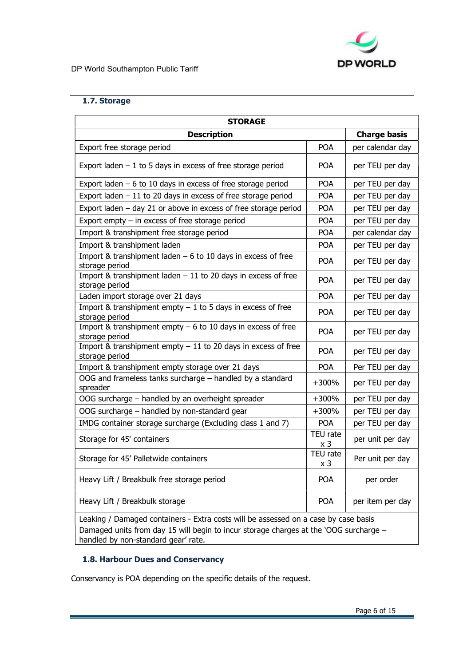

### 1.7. Storage

| <b>STORAGE</b>                                                                                                               |                 |                  |  |  |
|------------------------------------------------------------------------------------------------------------------------------|-----------------|------------------|--|--|
| <b>Charge basis</b><br><b>Description</b>                                                                                    |                 |                  |  |  |
| Export free storage period                                                                                                   | <b>POA</b>      | per calendar day |  |  |
| Export laden $-1$ to 5 days in excess of free storage period                                                                 | <b>POA</b>      | per TEU per day  |  |  |
| Export laden $-6$ to 10 days in excess of free storage period                                                                | <b>POA</b>      | per TEU per day  |  |  |
| Export laden $-11$ to 20 days in excess of free storage period                                                               | <b>POA</b>      | per TEU per day  |  |  |
| Export laden $-$ day 21 or above in excess of free storage period                                                            | <b>POA</b>      | per TEU per day  |  |  |
| Export empty $-$ in excess of free storage period                                                                            | <b>POA</b>      | per TEU per day  |  |  |
| Import & transhipment free storage period                                                                                    | POA             | per calendar day |  |  |
| Import & transhipment laden                                                                                                  | <b>POA</b>      | per TEU per day  |  |  |
| Import & transhipment laden $-6$ to 10 days in excess of free<br>storage period                                              | <b>POA</b>      | per TEU per day  |  |  |
| Import & transhipment laden $-11$ to 20 days in excess of free<br>storage period                                             | <b>POA</b>      | per TEU per day  |  |  |
| Laden import storage over 21 days                                                                                            | <b>POA</b>      | per TEU per day  |  |  |
| Import & transhipment empty $-1$ to 5 days in excess of free<br>storage period                                               | <b>POA</b>      | per TEU per day  |  |  |
| Import & transhipment empty $-6$ to 10 days in excess of free<br>storage period                                              | <b>POA</b>      | per TEU per day  |  |  |
| Import & transhipment empty $-11$ to 20 days in excess of free<br>storage period                                             | <b>POA</b>      | per TEU per day  |  |  |
| Import & transhipment empty storage over 21 days                                                                             | <b>POA</b>      | Per TEU per day  |  |  |
| OOG and frameless tanks surcharge - handled by a standard<br>spreader                                                        | $+300%$         | per TEU per day  |  |  |
| OOG surcharge - handled by an overheight spreader                                                                            | $+300%$         | per TEU per day  |  |  |
| OOG surcharge – handled by non-standard gear                                                                                 | $+300%$         | per TEU per day  |  |  |
| IMDG container storage surcharge (Excluding class 1 and 7)                                                                   | <b>POA</b>      | per TEU per day  |  |  |
| Storage for 45' containers                                                                                                   | TEU rate<br>x 3 | per unit per day |  |  |
| Storage for 45' Palletwide containers                                                                                        | TEU rate<br>x 3 | Per unit per day |  |  |
| Heavy Lift / Breakbulk free storage period                                                                                   | POA             | per order        |  |  |
| Heavy Lift / Breakbulk storage                                                                                               | <b>POA</b>      | per item per day |  |  |
| Leaking / Damaged containers - Extra costs will be assessed on a case by case basis                                          |                 |                  |  |  |
| Damaged units from day 15 will begin to incur storage charges at the 'OOG surcharge -<br>handled by non-standard gear' rate. |                 |                  |  |  |

# 1.8. Harbour Dues and Conservancy

Conservancy is POA depending on the specific details of the request.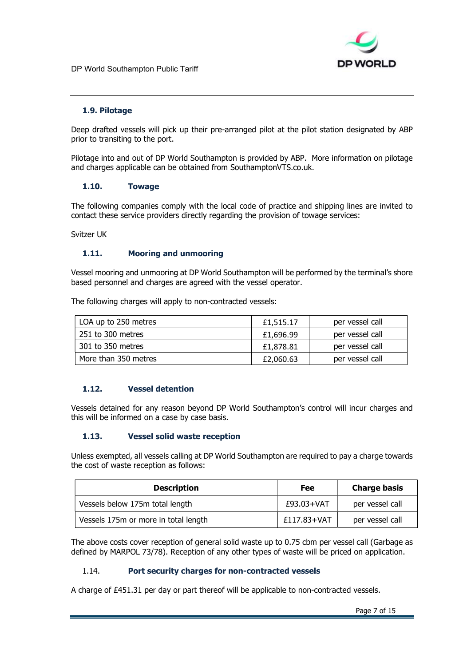

### 1.9. Pilotage

Deep drafted vessels will pick up their pre-arranged pilot at the pilot station designated by ABP prior to transiting to the port.

Pilotage into and out of DP World Southampton is provided by ABP. More information on pilotage and charges applicable can be obtained from SouthamptonVTS.co.uk.

### 1.10. Towage

The following companies comply with the local code of practice and shipping lines are invited to contact these service providers directly regarding the provision of towage services:

Svitzer UK

### 1.11. Mooring and unmooring

Vessel mooring and unmooring at DP World Southampton will be performed by the terminal's shore based personnel and charges are agreed with the vessel operator.

The following charges will apply to non-contracted vessels:

| LOA up to 250 metres | £1.515.17 | per vessel call |
|----------------------|-----------|-----------------|
| 251 to 300 metres    | £1.696.99 | per vessel call |
| 301 to 350 metres    | £1,878.81 | per vessel call |
| More than 350 metres | £2,060.63 | per vessel call |

### 1.12. Vessel detention

Vessels detained for any reason beyond DP World Southampton's control will incur charges and this will be informed on a case by case basis.

### 1.13. Vessel solid waste reception

Unless exempted, all vessels calling at DP World Southampton are required to pay a charge towards the cost of waste reception as follows:

| <b>Description</b>                   | Fee         | <b>Charge basis</b> |
|--------------------------------------|-------------|---------------------|
| Vessels below 175m total length      | £93.03+VAT  | per vessel call     |
| Vessels 175m or more in total length | £117.83+VAT | per vessel call     |

The above costs cover reception of general solid waste up to 0.75 cbm per vessel call (Garbage as defined by MARPOL 73/78). Reception of any other types of waste will be priced on application.

### 1.14. Port security charges for non-contracted vessels

A charge of £451.31 per day or part thereof will be applicable to non-contracted vessels.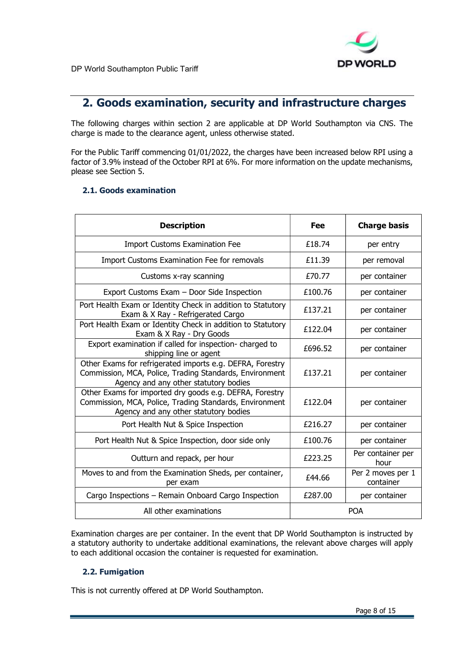

# 2. Goods examination, security and infrastructure charges

The following charges within section 2 are applicable at DP World Southampton via CNS. The charge is made to the clearance agent, unless otherwise stated.

For the Public Tariff commencing 01/01/2022, the charges have been increased below RPI using a factor of 3.9% instead of the October RPI at 6%. For more information on the update mechanisms, please see Section 5.

### 2.1. Goods examination

| <b>Description</b>                                                                                                                                            | Fee     | <b>Charge basis</b>            |
|---------------------------------------------------------------------------------------------------------------------------------------------------------------|---------|--------------------------------|
| <b>Import Customs Examination Fee</b>                                                                                                                         | £18.74  | per entry                      |
| <b>Import Customs Examination Fee for removals</b>                                                                                                            | £11.39  | per removal                    |
| Customs x-ray scanning                                                                                                                                        | £70.77  | per container                  |
| Export Customs Exam - Door Side Inspection                                                                                                                    | £100.76 | per container                  |
| Port Health Exam or Identity Check in addition to Statutory<br>Exam & X Ray - Refrigerated Cargo                                                              | £137.21 | per container                  |
| Port Health Exam or Identity Check in addition to Statutory<br>Exam & X Ray - Dry Goods                                                                       | £122.04 | per container                  |
| Export examination if called for inspection- charged to<br>shipping line or agent                                                                             | £696.52 | per container                  |
| Other Exams for refrigerated imports e.g. DEFRA, Forestry<br>Commission, MCA, Police, Trading Standards, Environment<br>Agency and any other statutory bodies | £137.21 | per container                  |
| Other Exams for imported dry goods e.g. DEFRA, Forestry<br>Commission, MCA, Police, Trading Standards, Environment<br>Agency and any other statutory bodies   | £122.04 | per container                  |
| Port Health Nut & Spice Inspection                                                                                                                            | £216.27 | per container                  |
| Port Health Nut & Spice Inspection, door side only                                                                                                            | £100.76 | per container                  |
| Outturn and repack, per hour                                                                                                                                  | £223.25 | Per container per<br>hour      |
| Moves to and from the Examination Sheds, per container,<br>per exam                                                                                           | £44.66  | Per 2 moves per 1<br>container |
| Cargo Inspections - Remain Onboard Cargo Inspection                                                                                                           | £287,00 | per container                  |
| All other examinations                                                                                                                                        |         | <b>POA</b>                     |

Examination charges are per container. In the event that DP World Southampton is instructed by a statutory authority to undertake additional examinations, the relevant above charges will apply to each additional occasion the container is requested for examination.

### 2.2. Fumigation

This is not currently offered at DP World Southampton.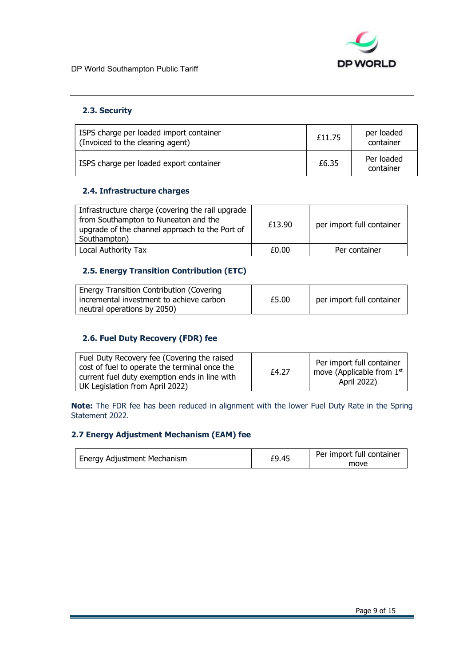

### 2.3. Security

| ISPS charge per loaded import container<br>(Invoiced to the clearing agent) | £11.75 | per loaded<br>container |
|-----------------------------------------------------------------------------|--------|-------------------------|
| ISPS charge per loaded export container                                     | £6.35  | Per loaded<br>container |

### 2.4. Infrastructure charges

| Infrastructure charge (covering the rail upgrade)<br>from Southampton to Nuneaton and the<br>upgrade of the channel approach to the Port of<br>Southampton) | £13.90 | per import full container |
|-------------------------------------------------------------------------------------------------------------------------------------------------------------|--------|---------------------------|
| Local Authority Tax                                                                                                                                         | £0.00  | Per container             |

### 2.5. Energy Transition Contribution (ETC)

| <b>Energy Transition Contribution (Covering</b> |       |                           |
|-------------------------------------------------|-------|---------------------------|
| incremental investment to achieve carbon        | £5.00 | per import full container |
| neutral operations by 2050)                     |       |                           |

### 2.6. Fuel Duty Recovery (FDR) fee

Note: The FDR fee has been reduced in alignment with the lower Fuel Duty Rate in the Spring Statement 2022.

### 2.7 Energy Adjustment Mechanism (EAM) fee

| Energy Adjustment Mechanism | £9.45 | Per import full container<br>move |
|-----------------------------|-------|-----------------------------------|
|-----------------------------|-------|-----------------------------------|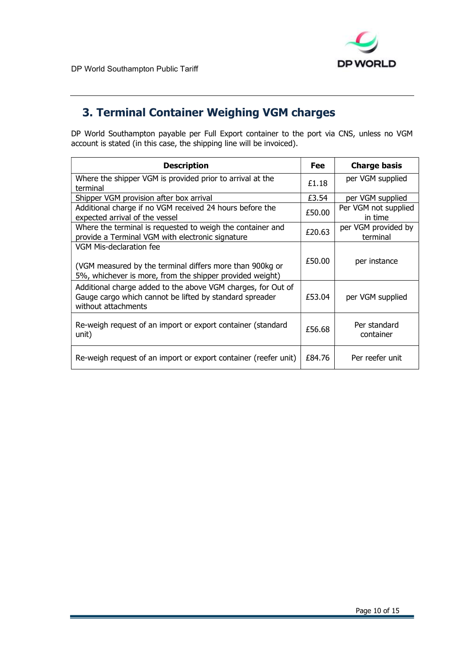

# 3. Terminal Container Weighing VGM charges

DP World Southampton payable per Full Export container to the port via CNS, unless no VGM account is stated (in this case, the shipping line will be invoiced).

| <b>Description</b>                                                                                                                              | Fee    | <b>Charge basis</b>             |
|-------------------------------------------------------------------------------------------------------------------------------------------------|--------|---------------------------------|
| Where the shipper VGM is provided prior to arrival at the<br>terminal                                                                           | £1.18  | per VGM supplied                |
| Shipper VGM provision after box arrival                                                                                                         | £3.54  | per VGM supplied                |
| Additional charge if no VGM received 24 hours before the<br>expected arrival of the vessel                                                      | £50.00 | Per VGM not supplied<br>in time |
| Where the terminal is requested to weigh the container and<br>provide a Terminal VGM with electronic signature                                  | £20.63 | per VGM provided by<br>terminal |
| VGM Mis-declaration fee<br>(VGM measured by the terminal differs more than 900kg or<br>5%, whichever is more, from the shipper provided weight) | £50.00 | per instance                    |
| Additional charge added to the above VGM charges, for Out of<br>Gauge cargo which cannot be lifted by standard spreader<br>without attachments  | £53.04 | per VGM supplied                |
| Re-weigh request of an import or export container (standard<br>unit)                                                                            | £56.68 | Per standard<br>container       |
| Re-weigh request of an import or export container (reefer unit)                                                                                 | £84.76 | Per reefer unit                 |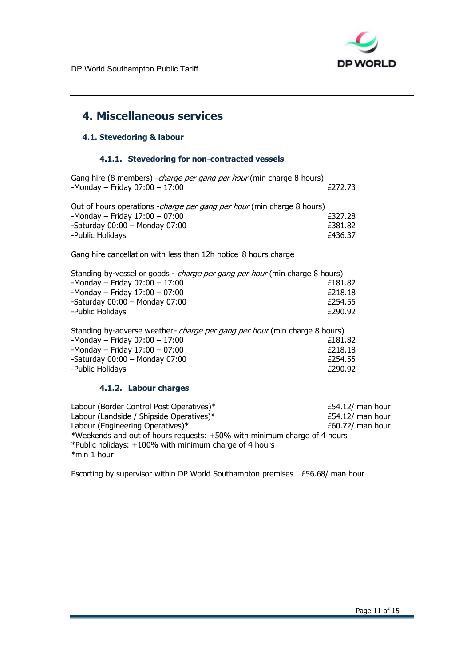

# 4. Miscellaneous services

### 4.1. Stevedoring & labour

### 4.1.1. Stevedoring for non-contracted vessels

Gang hire (8 members) -*charge per gang per hour* (min charge 8 hours)<br>-Monday – Friday 07:00 – 17:00  $-Monday - Friday 07:00 - 17:00$ 

| Out of hours operations - charge per gang per hour (min charge 8 hours) |         |
|-------------------------------------------------------------------------|---------|
| -Monday - Friday $17:00 - 07:00$                                        | £327.28 |
| -Saturday $00:00$ – Monday $07:00$                                      | £381.82 |
| -Public Holidays                                                        | £436.37 |

Gang hire cancellation with less than 12h notice 8 hours charge

| Standing by-vessel or goods - <i>charge per gang per hour</i> (min charge 8 hours) |  |  |  |
|------------------------------------------------------------------------------------|--|--|--|
| £181.82                                                                            |  |  |  |
| £218.18                                                                            |  |  |  |
| £254.55                                                                            |  |  |  |
| £290.92                                                                            |  |  |  |
|                                                                                    |  |  |  |

| Standing by-adverse weather- <i>charge per gang per hour</i> (min charge 8 hours) |         |  |
|-----------------------------------------------------------------------------------|---------|--|
| -Monday - Friday $07:00 - 17:00$                                                  | £181.82 |  |
| -Monday - Friday $17:00 - 07:00$                                                  | £218.18 |  |
| -Saturday $00:00 -$ Monday $07:00$                                                | £254.55 |  |
| -Public Holidays                                                                  | £290.92 |  |

### 4.1.2. Labour charges

Labour (Border Control Post Operatives)\* <br>
£54.12/ man hour Labour (Landside / Shipside Operatives)\* <br>
£54.12/ man hour Labour (Engineering Operatives)\* <br>
E60.72/ man hour \*Weekends and out of hours requests: +50% with minimum charge of 4 hours \*Public holidays: +100% with minimum charge of 4 hours \*min 1 hour

Escorting by supervisor within DP World Southampton premises £56.68/ man hour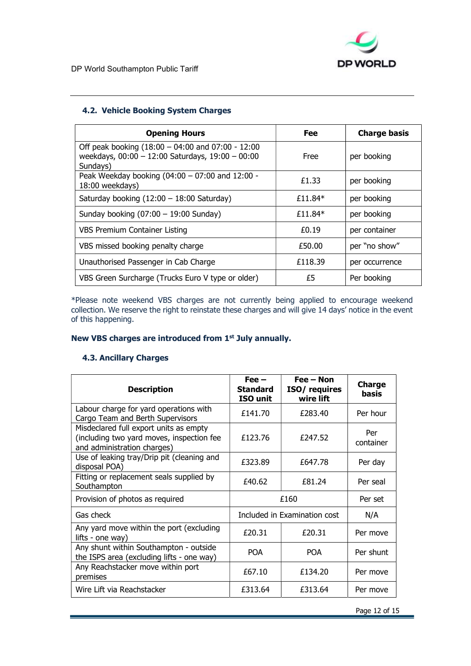

### 4.2. Vehicle Booking System Charges

| <b>Opening Hours</b>                                                                                                       | Fee     | <b>Charge basis</b> |
|----------------------------------------------------------------------------------------------------------------------------|---------|---------------------|
| Off peak booking $(18:00 - 04:00)$ and $07:00 - 12:00$<br>weekdays, $00:00 - 12:00$ Saturdays, $19:00 - 00:00$<br>Sundays) | Free    | per booking         |
| Peak Weekday booking $(04:00 - 07:00$ and 12:00 -<br>18:00 weekdays)                                                       | £1.33   | per booking         |
| Saturday booking $(12:00 - 18:00$ Saturday)                                                                                | £11.84* | per booking         |
| Sunday booking $(07:00 - 19:00$ Sunday)                                                                                    | £11.84* | per booking         |
| <b>VBS Premium Container Listing</b>                                                                                       | f(0.19) | per container       |
| VBS missed booking penalty charge                                                                                          | £50.00  | per "no show"       |
| Unauthorised Passenger in Cab Charge                                                                                       | £118.39 | per occurrence      |
| VBS Green Surcharge (Trucks Euro V type or older)                                                                          | £5      | Per booking         |

\*Please note weekend VBS charges are not currently being applied to encourage weekend collection. We reserve the right to reinstate these charges and will give 14 days' notice in the event of this happening.

### New VBS charges are introduced from 1<sup>st</sup> July annually.

### 4.3. Ancillary Charges

| <b>Description</b>                                                                                                 | $Fee -$<br><b>Standard</b><br>ISO unit | $Fee - Non$<br>ISO/ requires<br>wire lift | <b>Charge</b><br>basis |
|--------------------------------------------------------------------------------------------------------------------|----------------------------------------|-------------------------------------------|------------------------|
| Labour charge for yard operations with<br>Cargo Team and Berth Supervisors                                         | £141.70                                | £283.40                                   | Per hour               |
| Misdeclared full export units as empty<br>(including two yard moves, inspection fee<br>and administration charges) | £123.76                                | £247.52                                   | Per<br>container       |
| Use of leaking tray/Drip pit (cleaning and<br>disposal POA)                                                        | £323.89                                | £647.78                                   | Per day                |
| Fitting or replacement seals supplied by<br>Southampton                                                            | £40.62                                 | £81.24                                    | Per seal               |
| Provision of photos as required                                                                                    | £160                                   |                                           | Per set                |
| Gas check                                                                                                          | Included in Examination cost           |                                           | N/A                    |
| Any yard move within the port (excluding<br>lifts - one way)                                                       | £20.31                                 | £20.31                                    | Per move               |
| Any shunt within Southampton - outside<br>the ISPS area (excluding lifts - one way)                                | <b>POA</b>                             | <b>POA</b>                                | Per shunt              |
| Any Reachstacker move within port<br>premises                                                                      | £67.10                                 | £134.20                                   | Per move               |
| Wire Lift via Reachstacker                                                                                         | £313.64                                | £313.64                                   | Per move               |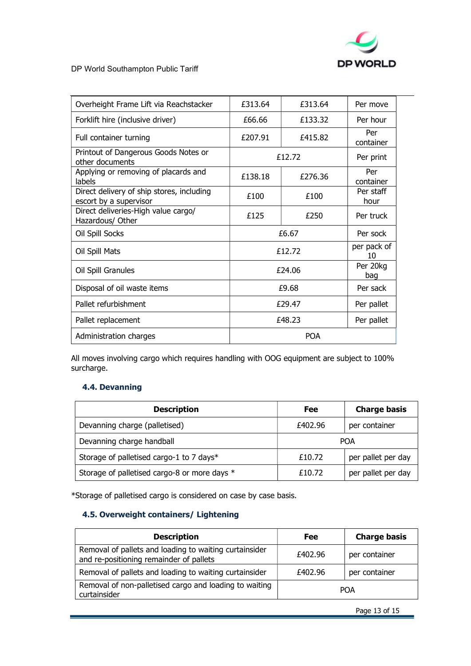

DP World Southampton Public Tariff

| Overheight Frame Lift via Reachstacker                              | £313.64    | £313.64 | Per move          |
|---------------------------------------------------------------------|------------|---------|-------------------|
| Forklift hire (inclusive driver)                                    | £66.66     | £133.32 | Per hour          |
| Full container turning                                              | £207.91    | £415.82 | Per<br>container  |
| Printout of Dangerous Goods Notes or<br>other documents             |            | £12.72  |                   |
| Applying or removing of placards and<br>labels                      | £138.18    | £276.36 | Per<br>container  |
| Direct delivery of ship stores, including<br>escort by a supervisor | £100       | £100    | Per staff<br>hour |
| Direct deliveries-High value cargo/<br>Hazardous/ Other             | £125       | £250    | Per truck         |
| Oil Spill Socks                                                     | £6.67      |         | Per sock          |
| Oil Spill Mats                                                      | £12.72     |         | per pack of<br>10 |
| Oil Spill Granules                                                  | £24.06     |         | Per 20kg<br>bag   |
| Disposal of oil waste items                                         | £9.68      |         | Per sack          |
| Pallet refurbishment                                                | £29.47     |         | Per pallet        |
| Pallet replacement                                                  | £48.23     |         | Per pallet        |
| Administration charges                                              | <b>POA</b> |         |                   |

All moves involving cargo which requires handling with OOG equipment are subject to 100% surcharge.

### 4.4. Devanning

| <b>Description</b>                           | Fee        | <b>Charge basis</b> |  |
|----------------------------------------------|------------|---------------------|--|
| Devanning charge (palletised)                | £402.96    | per container       |  |
| Devanning charge handball                    | <b>POA</b> |                     |  |
| Storage of palletised cargo-1 to 7 days*     | £10.72     | per pallet per day  |  |
| Storage of palletised cargo-8 or more days * | £10.72     | per pallet per day  |  |

\*Storage of palletised cargo is considered on case by case basis.

### 4.5. Overweight containers/ Lightening

| <b>Description</b>                                                                                | <b>Fee</b> | <b>Charge basis</b> |
|---------------------------------------------------------------------------------------------------|------------|---------------------|
| Removal of pallets and loading to waiting curtainsider<br>and re-positioning remainder of pallets | £402.96    | per container       |
| Removal of pallets and loading to waiting curtainsider                                            | £402.96    | per container       |
| Removal of non-palletised cargo and loading to waiting<br>curtainsider                            | <b>POA</b> |                     |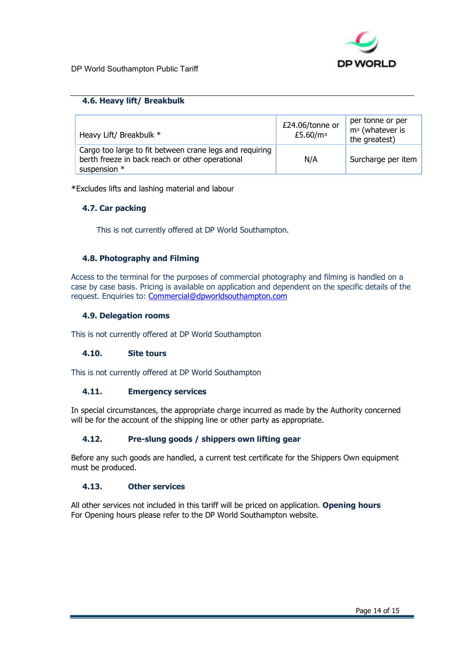

### 4.6. Heavy lift/ Breakbulk

| Heavy Lift/ Breakbulk *                                                                                                    | £24.06/tonne or<br>£5.60/m <sup>3</sup> | per tonne or per<br>m <sup>3</sup> (whatever is<br>the greatest) |
|----------------------------------------------------------------------------------------------------------------------------|-----------------------------------------|------------------------------------------------------------------|
| Cargo too large to fit between crane legs and requiring<br>berth freeze in back reach or other operational<br>suspension * | N/A                                     | Surcharge per item                                               |

\*Excludes lifts and lashing material and labour

### 4.7. Car packing

This is not currently offered at DP World Southampton.

### 4.8. Photography and Filming

Access to the terminal for the purposes of commercial photography and filming is handled on a case by case basis. Pricing is available on application and dependent on the specific details of the request. Enquiries to: Commercial@dpworldsouthampton.com

### 4.9. Delegation rooms

This is not currently offered at DP World Southampton

### 4.10. Site tours

This is not currently offered at DP World Southampton

### 4.11. Emergency services

In special circumstances, the appropriate charge incurred as made by the Authority concerned will be for the account of the shipping line or other party as appropriate.

### 4.12. Pre-slung goods / shippers own lifting gear

Before any such goods are handled, a current test certificate for the Shippers Own equipment must be produced.

### 4.13. Other services

All other services not included in this tariff will be priced on application. Opening hours For Opening hours please refer to the DP World Southampton website.